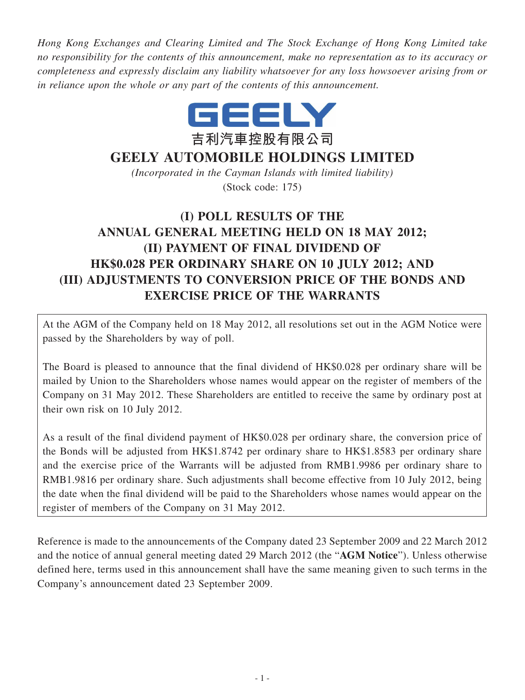*Hong Kong Exchanges and Clearing Limited and The Stock Exchange of Hong Kong Limited take no responsibility for the contents of this announcement, make no representation as to its accuracy or completeness and expressly disclaim any liability whatsoever for any loss howsoever arising from or in reliance upon the whole or any part of the contents of this announcement.*



## **GEELY AUTOMOBILE HOLDINGS LIMITED**

*(Incorporated in the Cayman Islands with limited liability)* (Stock code: 175)

# **(I) POLL RESULTS OF THE ANNUAL GENERAL MEETING HELD ON 18 MAY 2012; (II) PAYMENT OF FINAL DIVIDEND OF HK\$0.028 PER ORDINARY SHARE ON 10 JULY 2012; AND (III) ADJUSTMENTS TO CONVERSION PRICE OF THE BONDS AND EXERCISE PRICE OF THE WARRANTS**

At the AGM of the Company held on 18 May 2012, all resolutions set out in the AGM Notice were passed by the Shareholders by way of poll.

The Board is pleased to announce that the final dividend of HK\$0.028 per ordinary share will be mailed by Union to the Shareholders whose names would appear on the register of members of the Company on 31 May 2012. These Shareholders are entitled to receive the same by ordinary post at their own risk on 10 July 2012.

As a result of the final dividend payment of HK\$0.028 per ordinary share, the conversion price of the Bonds will be adjusted from HK\$1.8742 per ordinary share to HK\$1.8583 per ordinary share and the exercise price of the Warrants will be adjusted from RMB1.9986 per ordinary share to RMB1.9816 per ordinary share. Such adjustments shall become effective from 10 July 2012, being the date when the final dividend will be paid to the Shareholders whose names would appear on the register of members of the Company on 31 May 2012.

Reference is made to the announcements of the Company dated 23 September 2009 and 22 March 2012 and the notice of annual general meeting dated 29 March 2012 (the "**AGM Notice**"). Unless otherwise defined here, terms used in this announcement shall have the same meaning given to such terms in the Company's announcement dated 23 September 2009.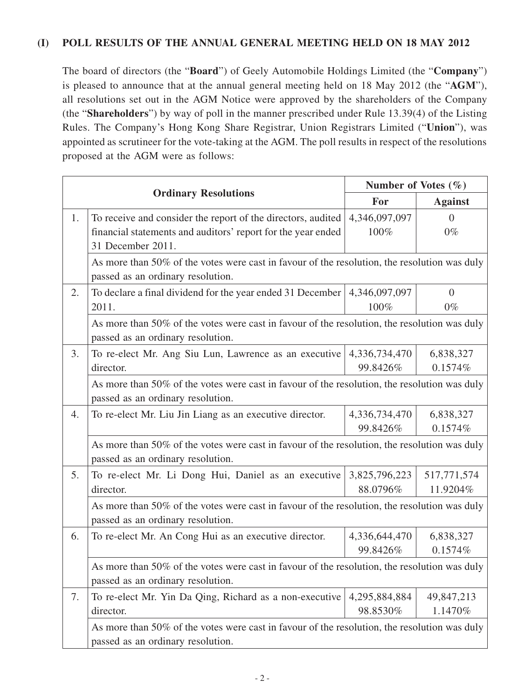#### **(I) POLL RESULTS OF THE ANNUAL GENERAL MEETING HELD ON 18 MAY 2012**

The board of directors (the "**Board**") of Geely Automobile Holdings Limited (the "**Company**") is pleased to announce that at the annual general meeting held on 18 May 2012 (the "**AGM**"), all resolutions set out in the AGM Notice were approved by the shareholders of the Company (the "**Shareholders**") by way of poll in the manner prescribed under Rule 13.39(4) of the Listing Rules. The Company's Hong Kong Share Registrar, Union Registrars Limited ("**Union**"), was appointed as scrutineer for the vote-taking at the AGM. The poll results in respect of the resolutions proposed at the AGM were as follows:

|    |                                                                                                                                   | Number of Votes $(\% )$ |                |  |  |
|----|-----------------------------------------------------------------------------------------------------------------------------------|-------------------------|----------------|--|--|
|    | <b>Ordinary Resolutions</b>                                                                                                       | For                     | <b>Against</b> |  |  |
| 1. | To receive and consider the report of the directors, audited                                                                      | 4,346,097,097           | $\overline{0}$ |  |  |
|    | financial statements and auditors' report for the year ended                                                                      | 100%                    | $0\%$          |  |  |
|    | 31 December 2011.                                                                                                                 |                         |                |  |  |
|    | As more than 50% of the votes were cast in favour of the resolution, the resolution was duly<br>passed as an ordinary resolution. |                         |                |  |  |
| 2. | To declare a final dividend for the year ended 31 December                                                                        | 4,346,097,097           | $\overline{0}$ |  |  |
|    | 2011.                                                                                                                             | 100%                    | $0\%$          |  |  |
|    | As more than 50% of the votes were cast in favour of the resolution, the resolution was duly<br>passed as an ordinary resolution. |                         |                |  |  |
| 3. | To re-elect Mr. Ang Siu Lun, Lawrence as an executive                                                                             | 4,336,734,470           | 6,838,327      |  |  |
|    | director.                                                                                                                         | 99.8426%                | 0.1574%        |  |  |
|    | As more than 50% of the votes were cast in favour of the resolution, the resolution was duly<br>passed as an ordinary resolution. |                         |                |  |  |
| 4. | To re-elect Mr. Liu Jin Liang as an executive director.                                                                           | 4,336,734,470           | 6,838,327      |  |  |
|    |                                                                                                                                   | 99.8426%                | 0.1574%        |  |  |
|    | As more than 50% of the votes were cast in favour of the resolution, the resolution was duly<br>passed as an ordinary resolution. |                         |                |  |  |
| 5. | To re-elect Mr. Li Dong Hui, Daniel as an executive                                                                               | 3,825,796,223           | 517,771,574    |  |  |
|    | director.                                                                                                                         | 88.0796%                | 11.9204%       |  |  |
|    | As more than 50% of the votes were cast in favour of the resolution, the resolution was duly<br>passed as an ordinary resolution. |                         |                |  |  |
| 6. | To re-elect Mr. An Cong Hui as an executive director.                                                                             | 4,336,644,470           | 6,838,327      |  |  |
|    |                                                                                                                                   | 99.8426%                | 0.1574%        |  |  |
|    | As more than 50% of the votes were cast in favour of the resolution, the resolution was duly                                      |                         |                |  |  |
| 7. | To re-elect Mr. Yin Da Qing, Richard as a non-executive                                                                           | 4,295,884,884           | 49,847,213     |  |  |
|    | director.                                                                                                                         | 98.8530%                | 1.1470%        |  |  |
|    | As more than 50% of the votes were cast in favour of the resolution, the resolution was duly<br>passed as an ordinary resolution. |                         |                |  |  |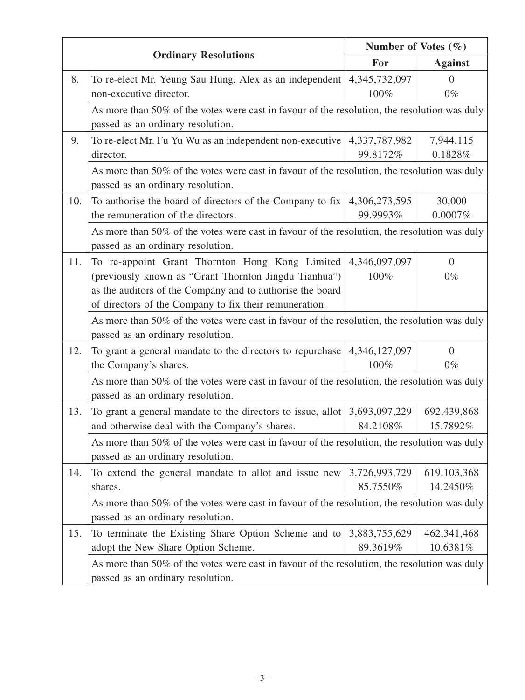|     |                                                                                                                                   | Number of Votes $(\% )$ |                |  |  |
|-----|-----------------------------------------------------------------------------------------------------------------------------------|-------------------------|----------------|--|--|
|     | <b>Ordinary Resolutions</b>                                                                                                       | For                     | <b>Against</b> |  |  |
| 8.  | To re-elect Mr. Yeung Sau Hung, Alex as an independent                                                                            | 4,345,732,097           | $\Omega$       |  |  |
|     | non-executive director.                                                                                                           | 100%                    | $0\%$          |  |  |
|     | As more than 50% of the votes were cast in favour of the resolution, the resolution was duly<br>passed as an ordinary resolution. |                         |                |  |  |
| 9.  | To re-elect Mr. Fu Yu Wu as an independent non-executive                                                                          | 4,337,787,982           | 7,944,115      |  |  |
|     | director.                                                                                                                         | 99.8172%                | 0.1828%        |  |  |
|     | As more than 50% of the votes were cast in favour of the resolution, the resolution was duly<br>passed as an ordinary resolution. |                         |                |  |  |
| 10. | To authorise the board of directors of the Company to fix $\vert$                                                                 | 4,306,273,595           | 30,000         |  |  |
|     | the remuneration of the directors.                                                                                                | 99.9993%                | $0.0007\%$     |  |  |
|     | As more than 50% of the votes were cast in favour of the resolution, the resolution was duly<br>passed as an ordinary resolution. |                         |                |  |  |
| 11. | To re-appoint Grant Thornton Hong Kong Limited                                                                                    | 4,346,097,097           | $\overline{0}$ |  |  |
|     | (previously known as "Grant Thornton Jingdu Tianhua")                                                                             | 100%                    | $0\%$          |  |  |
|     | as the auditors of the Company and to authorise the board                                                                         |                         |                |  |  |
|     | of directors of the Company to fix their remuneration.                                                                            |                         |                |  |  |
|     | As more than 50% of the votes were cast in favour of the resolution, the resolution was duly<br>passed as an ordinary resolution. |                         |                |  |  |
| 12. | To grant a general mandate to the directors to repurchase                                                                         | 4,346,127,097           | $\overline{0}$ |  |  |
|     | the Company's shares.                                                                                                             | 100%                    | $0\%$          |  |  |
|     | As more than 50% of the votes were cast in favour of the resolution, the resolution was duly<br>passed as an ordinary resolution. |                         |                |  |  |
| 13. | To grant a general mandate to the directors to issue, allot                                                                       | 3,693,097,229           | 692,439,868    |  |  |
|     | and otherwise deal with the Company's shares.                                                                                     | 84.2108%                | 15.7892%       |  |  |
|     | As more than 50% of the votes were cast in favour of the resolution, the resolution was duly<br>passed as an ordinary resolution. |                         |                |  |  |
| 14. | To extend the general mandate to allot and issue new                                                                              | 3,726,993,729           | 619,103,368    |  |  |
|     | shares.                                                                                                                           | 85.7550%                | 14.2450%       |  |  |
|     | As more than 50% of the votes were cast in favour of the resolution, the resolution was duly<br>passed as an ordinary resolution. |                         |                |  |  |
| 15. | To terminate the Existing Share Option Scheme and to                                                                              | 3,883,755,629           | 462, 341, 468  |  |  |
|     | adopt the New Share Option Scheme.                                                                                                | 89.3619%                | 10.6381%       |  |  |
|     | As more than 50% of the votes were cast in favour of the resolution, the resolution was duly<br>passed as an ordinary resolution. |                         |                |  |  |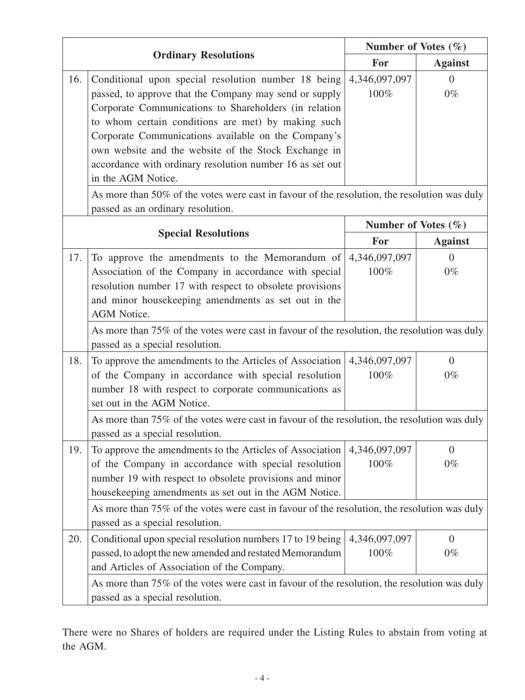| <b>Ordinary Resolutions</b>                                                                                                       |                                                                                                                                                                                                                                                                                                                                                                                                                               | Number of Votes $(\% )$ |                         |  |  |
|-----------------------------------------------------------------------------------------------------------------------------------|-------------------------------------------------------------------------------------------------------------------------------------------------------------------------------------------------------------------------------------------------------------------------------------------------------------------------------------------------------------------------------------------------------------------------------|-------------------------|-------------------------|--|--|
|                                                                                                                                   |                                                                                                                                                                                                                                                                                                                                                                                                                               | For                     | <b>Against</b>          |  |  |
| 16.                                                                                                                               | Conditional upon special resolution number 18 being<br>passed, to approve that the Company may send or supply<br>Corporate Communications to Shareholders (in relation<br>to whom certain conditions are met) by making such<br>Corporate Communications available on the Company's<br>own website and the website of the Stock Exchange in<br>accordance with ordinary resolution number 16 as set out<br>in the AGM Notice. | 4,346,097,097<br>100%   | $\overline{0}$<br>$0\%$ |  |  |
| As more than 50% of the votes were cast in favour of the resolution, the resolution was duly<br>passed as an ordinary resolution. |                                                                                                                                                                                                                                                                                                                                                                                                                               |                         |                         |  |  |
|                                                                                                                                   |                                                                                                                                                                                                                                                                                                                                                                                                                               | Number of Votes $(\% )$ |                         |  |  |
|                                                                                                                                   | <b>Special Resolutions</b>                                                                                                                                                                                                                                                                                                                                                                                                    | For                     | <b>Against</b>          |  |  |
| 17.                                                                                                                               | To approve the amendments to the Memorandum of<br>Association of the Company in accordance with special<br>resolution number 17 with respect to obsolete provisions<br>and minor housekeeping amendments as set out in the<br><b>AGM</b> Notice.                                                                                                                                                                              | 4,346,097,097<br>100%   | $\overline{0}$<br>$0\%$ |  |  |
|                                                                                                                                   | As more than 75% of the votes were cast in favour of the resolution, the resolution was duly<br>passed as a special resolution.                                                                                                                                                                                                                                                                                               |                         |                         |  |  |
| 18.                                                                                                                               | To approve the amendments to the Articles of Association<br>of the Company in accordance with special resolution<br>number 18 with respect to corporate communications as<br>set out in the AGM Notice.                                                                                                                                                                                                                       | 4,346,097,097<br>100%   | $\overline{0}$<br>$0\%$ |  |  |
|                                                                                                                                   | As more than 75% of the votes were cast in favour of the resolution, the resolution was duly<br>passed as a special resolution.                                                                                                                                                                                                                                                                                               |                         |                         |  |  |
| 19.                                                                                                                               | To approve the amendments to the Articles of Association<br>of the Company in accordance with special resolution<br>number 19 with respect to obsolete provisions and minor<br>housekeeping amendments as set out in the AGM Notice.                                                                                                                                                                                          | 4,346,097,097<br>100%   | $\overline{0}$<br>$0\%$ |  |  |
|                                                                                                                                   | As more than 75% of the votes were cast in favour of the resolution, the resolution was duly<br>passed as a special resolution.                                                                                                                                                                                                                                                                                               |                         |                         |  |  |
| 20.                                                                                                                               | Conditional upon special resolution numbers 17 to 19 being<br>passed, to adopt the new amended and restated Memorandum<br>and Articles of Association of the Company.                                                                                                                                                                                                                                                         | 4,346,097,097<br>100%   | $\overline{0}$<br>$0\%$ |  |  |
|                                                                                                                                   | As more than 75% of the votes were cast in favour of the resolution, the resolution was duly<br>passed as a special resolution.                                                                                                                                                                                                                                                                                               |                         |                         |  |  |

There were no Shares of holders are required under the Listing Rules to abstain from voting at the AGM.